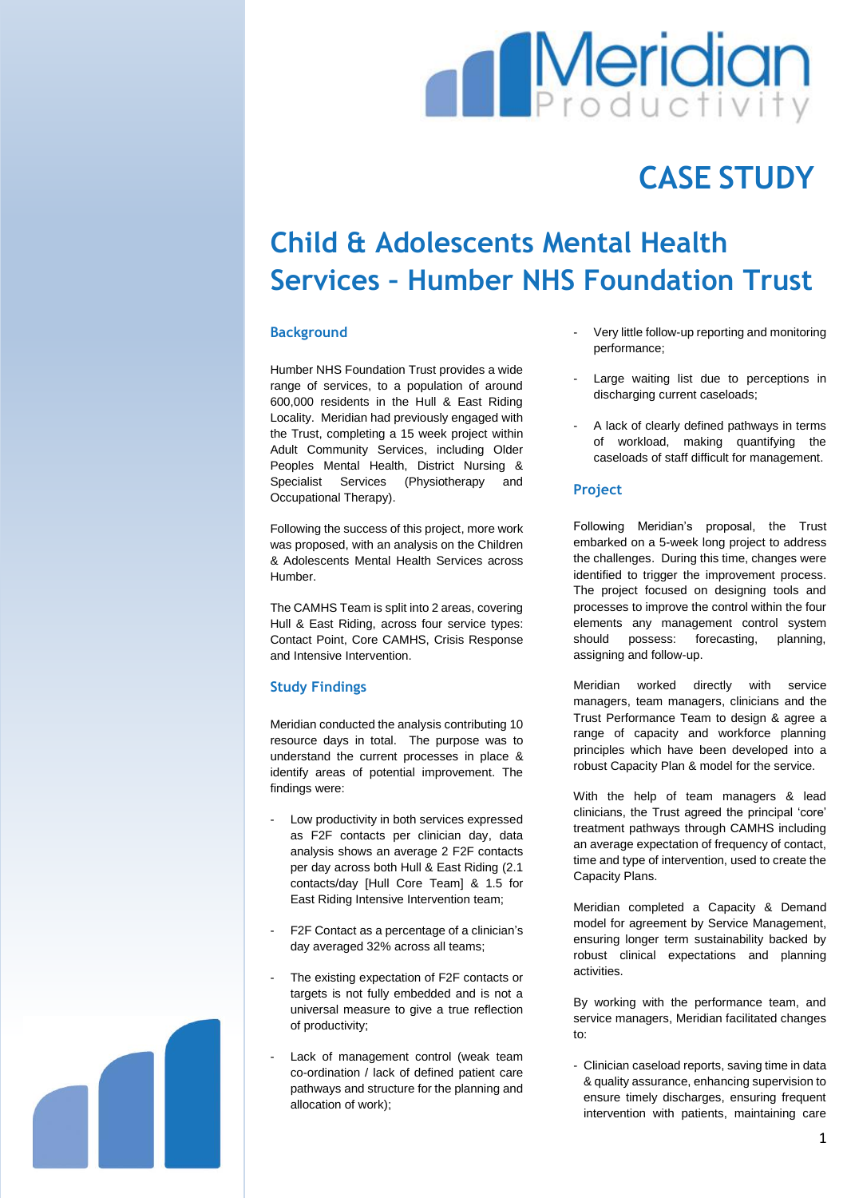# **Meridian**

# **CASE STUDY**

# **Child & Adolescents Mental Health Services – Humber NHS Foundation Trust**

## **Background**

Humber NHS Foundation Trust provides a wide range of services, to a population of around 600,000 residents in the Hull & East Riding Locality. Meridian had previously engaged with the Trust, completing a 15 week project within Adult Community Services, including Older Peoples Mental Health, District Nursing & Specialist Services (Physiotherapy and Occupational Therapy).

Following the success of this project, more work was proposed, with an analysis on the Children & Adolescents Mental Health Services across Humber.

The CAMHS Team is split into 2 areas, covering Hull & East Riding, across four service types: Contact Point, Core CAMHS, Crisis Response and Intensive Intervention.

## **Study Findings**

Meridian conducted the analysis contributing 10 resource days in total. The purpose was to understand the current processes in place & identify areas of potential improvement. The findings were:

- Low productivity in both services expressed as F2F contacts per clinician day, data analysis shows an average 2 F2F contacts per day across both Hull & East Riding (2.1 contacts/day [Hull Core Team] & 1.5 for East Riding Intensive Intervention team;
- F2F Contact as a percentage of a clinician's day averaged 32% across all teams;
- The existing expectation of F2F contacts or targets is not fully embedded and is not a universal measure to give a true reflection of productivity;
- Lack of management control (weak team co-ordination / lack of defined patient care pathways and structure for the planning and allocation of work);
- Very little follow-up reporting and monitoring performance;
- Large waiting list due to perceptions in discharging current caseloads;
- A lack of clearly defined pathways in terms of workload, making quantifying the caseloads of staff difficult for management.

## **Project**

Following Meridian's proposal, the Trust embarked on a 5-week long project to address the challenges. During this time, changes were identified to trigger the improvement process. The project focused on designing tools and processes to improve the control within the four elements any management control system should possess: forecasting, planning, assigning and follow-up.

Meridian worked directly with service managers, team managers, clinicians and the Trust Performance Team to design & agree a range of capacity and workforce planning principles which have been developed into a robust Capacity Plan & model for the service.

With the help of team managers & lead clinicians, the Trust agreed the principal 'core' treatment pathways through CAMHS including an average expectation of frequency of contact, time and type of intervention, used to create the Capacity Plans.

Meridian completed a Capacity & Demand model for agreement by Service Management, ensuring longer term sustainability backed by robust clinical expectations and planning activities.

By working with the performance team, and service managers, Meridian facilitated changes to:

- Clinician caseload reports, saving time in data & quality assurance, enhancing supervision to ensure timely discharges, ensuring frequent intervention with patients, maintaining care

1